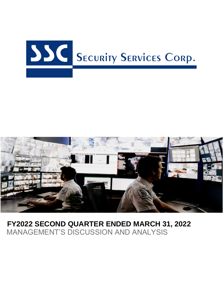



# **FY2022 SECOND QUARTER ENDED MARCH 31, 2022** MANAGEMENT'S DISCUSSION AND ANALYSIS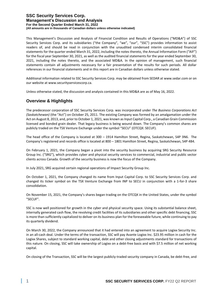This Management's Discussion and Analysis of Financial Condition and Results of Operations ("MD&A") of SSC Security Services Corp. and its subsidiaries ("the Company", "we", "our", "SSC") provides information to assist readers of, and should be read in conjunction with the unaudited condensed interim consolidated financial statements for the quarter ended March 31, 2022, including the notes thereto, the Annual Information Form ("AIF") for the fiscal year September 30, 2021, as well as the audited financial statements for the year ended September 30, 2021, including the notes thereto, and the associated MD&A. In the opinion of management, such financial statements contain all adjustments necessary for a fair presentation of the results for such periods. All dollar references in our financial statements and in this report are in Canadian dollars unless otherwise stated.

Additional information related to SSC Security Services Corp. may be obtained from SEDAR at www.sedar.com or on our website at www.securityservicescorp.ca.

Unless otherwise stated, the discussion and analysis contained in this MD&A are as of May 16, 2022.

## **Overview & Highlights**

The predecessor corporation of SSC Security Services Corp. was incorporated under *The Business Corporations Act (Saskatchewan)* (the "Act") on October 25, 2011. The existing Company was formed by an amalgamation under the Act on August 8, 2013, and, prior to October 1, 2021, was known as Input Capital Corp., a Canadian Grain Commission licensed and bonded grain dealer. That legacy business is being wound down. The Company's common shares are publicly traded on the TSX Venture Exchange under the symbol "SECU" (OTCQX: SECUF).

The head office of the Company is located at 300 – 1914 Hamilton Street, Regina, Saskatchewan, S4P 3N6. The Company's registered and records office is located at 800 – 1801 Hamilton Street, Regina, Saskatchewan, S4P 4B4.

On February 1, 2021, the Company began a pivot into the security business by acquiring SRG Security Resource Group Inc. ("SRG"), which provides cyber and physical security services to commercial, industrial and public sector clients across Canada. Growth of the security business is now the focus of the Company.

In July 2021, SRG acquired certain regional operations of Impact Security Group Inc.

On October 1, 2021, the Company changed its name from Input Capital Corp. to SSC Security Services Corp. and changed its ticker symbol on the TSX Venture Exchange from INP to SECU in conjunction with a 1-for-3 share consolidation.

On November 15, 2021, the Company's shares began trading on the OTCQX in the United States, under the symbol "SECUF".

SSC is now well positioned for growth in the cyber and physical security space. Using its substantial balance sheet, internally generated cash flow, the revolving credit facilities of its subsidiaries and other specific debt financing, SSC is more than sufficiently capitalized to deliver on its business plan for the foreseeable future, while continuing to pay its quarterly dividend.

On March 30, 2022, the Company announced that it had entered into an agreement to acquire Logixx Security Inc. in an all-cash deal. Under the terms of the transaction, SSC will pay Avante Logixx Inc. \$23.95 million in cash for the Logixx Shares, subject to standard working capital, debt and other closing adjustments standard for transactions of this nature. On closing, SSC will take ownership of Logixx on a debt-free basis and with \$7.5 million of net working capital.

On closing of the Transaction, SSC will be the largest publicly-traded security company in Canada, be debt-free, and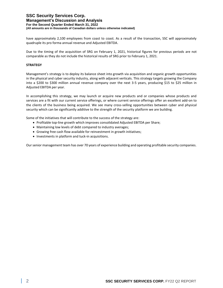## **SSC Security Services Corp. Management's Discussion and Analysis**

**For the Second Quarter Ended March 31, 2022**

**(All amounts are in thousands of Canadian dollars unless otherwise indicated)**

have approximately 2,100 employees from coast to coast. As a result of the transaction, SSC will approximately quadruple its pro forma annual revenue and Adjusted EBITDA.

Due to the timing of the acquisition of SRG on February 1, 2021, historical figures for previous periods are not comparable as they do not include the historical results of SRG prior to February 1, 2021.

#### **STRATEGY**

Management's strategy is to deploy its balance sheet into growth via acquisition and organic growth opportunities in the physical and cyber security industry, along with adjacent verticals. This strategy targets growing the Company into a \$200 to \$300 million annual revenue company over the next 3-5 years, producing \$15 to \$25 million in Adjusted EBITDA per year.

In accomplishing this strategy, we may launch or acquire new products and or companies whose products and services are a fit with our current service offerings, or where current service offerings offer an excellent add-on to the clients of the business being acquired. We see many cross-selling opportunities between cyber and physical security which can be significantly additive to the strength of the security platform we are building.

Some of the initiatives that will contribute to the success of the strategy are:

- Profitable top-line growth which improves consolidated Adjusted EBITDA per Share;
- Maintaining low levels of debt compared to industry averages;
- Growing free cash flow available for reinvestment in growth initiatives;
- Investments in platform and tuck-in acquisitions.

Our senior management team has over 70 years of experience building and operating profitable security companies.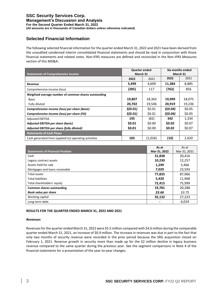### **SSC Security Services Corp. Management's Discussion and Analysis**

**For the Second Quarter Ended March 31, 2022**

**(All amounts are in thousands of Canadian dollars unless otherwise indicated)**

# **Selected Financial Information**

The following selected financial information for the quarter ended March 31, 2022 and 2021 have been derived from the unaudited condensed interim consolidated financial statements and should be read in conjunction with those financial statements and related notes. Non-IFRS measures are defined and reconciled in the Non-IFRS Measures section of this MD&A:

| <b>Statements of Comprehensive Income</b>             | <b>Quarter ended</b><br>March 31 |         | Six months ended<br>March 31 |        |
|-------------------------------------------------------|----------------------------------|---------|------------------------------|--------|
|                                                       | 2022                             | 2021    | 2022                         | 2021   |
| Revenue                                               | 5,499                            | 4,609   | 11,384                       | 8,885  |
| Comprehensive income (loss)                           | (285)                            | 117     | (762)                        | 856    |
| Weighted average number of common shares outstanding  |                                  |         |                              |        |
| <b>Basic</b>                                          | 19,807                           | 18,363  | 19,999                       | 18,075 |
| Fully diluted                                         | 20,702                           | 19,546  | 20,919                       | 19,236 |
| Comprehensive income (loss) per share (basic)         | \$(0.01)                         | \$0.01  | \$(0.04)                     | \$0.05 |
| Comprehensive income (loss) per share (FD)            | \$(0.01)                         | \$0.01  | \$(0.04)                     | \$0.05 |
| <b>Adjusted EBITDA</b>                                | 195                              | (82)    | 342                          | 1,334  |
| Adjusted EBITDA per share (basic)                     | \$0.01                           | \$0.00  | \$0.02                       | \$0.07 |
| Adjusted EBITDA per share (fully diluted)             | \$0.01                           | \$0.00  | \$0.02                       | \$0.07 |
| <b>Statements of Cash Flows</b>                       |                                  |         |                              |        |
| Cash generated from (applied to) operating activities | 183                              | (1,026) | (10)                         | 2,620  |

|                                         | As at                    | As at        |
|-----------------------------------------|--------------------------|--------------|
| <b>Statements of Financial Position</b> | Mar 31, 2022             | Mar 31, 2021 |
| Cash                                    | 31,838                   | 20,416       |
| Legacy contract assets                  | 10,230                   | 12,257       |
| Assets held for sale                    | 1,299                    | 5,466        |
| Mortgages and loans receivable          | 7,029                    | 23,593       |
| Total assets                            | 77,835                   | 87,966       |
| <b>Total liabilities</b>                | 5,420                    | 11,968       |
| Total shareholders' equity              | 72,415                   | 75,999       |
| <b>Common shares outstanding</b>        | 19,781                   | 20,288       |
| <b>Book value per share</b>             | \$3.66                   | \$3.75       |
| Working capital                         | 35,132                   | 27,223       |
| Long-term debt                          | $\overline{\phantom{a}}$ | 6,024        |

#### **RESULTS FOR THE QUARTER ENDED MARCH 31, 2022 AND 2021**

#### *Revenues*

Revenues for the quarter ended March 31, 2022 were \$5.5 million compared with \$4.6 million during the comparable quarter ended March 31, 2021, an increase of \$0.9 million. The increase in revenues was due in part to the fact that only two months of security revenue were recorded in the prior period because the SRG acquisition closed on February 1, 2021. Revenue growth in security more than made up for the \$2 million decline in legacy business revenue compared to the same quarter during the previous year. See the segment comparisons in Note 4 of the financial statements for a presentation of the year-to-year changes.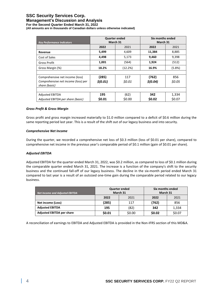## **SSC Security Services Corp.**

#### **Management's Discussion and Analysis**

**For the Second Quarter Ended March 31, 2022**

**(All amounts are in thousands of Canadian dollars unless otherwise indicated)**

|                                     | <b>Quarter ended</b> |                      | Six months ended |        |
|-------------------------------------|----------------------|----------------------|------------------|--------|
| <b>Key Performance Indicators</b>   |                      | March 31<br>March 31 |                  |        |
|                                     | 2022                 | 2021                 | 2022             | 2021   |
| Revenue                             | 5,499                | 4,609                | 11,384           | 8,885  |
| Cost of Sales                       | 4,498                | 5,173                | 9,460            | 9,398  |
| Gross Profit                        | 1,001                | (564)                | 1,924            | (512)  |
| Gross Margin (%)                    | 18.2%                | (12.2%)              | 16.9%            | (5.8%) |
|                                     |                      |                      |                  |        |
| Comprehensive net income (loss)     | (285)                | 117                  | (762)            | 856    |
| Comprehensive net income (loss) per | \$(0.01)             | \$0.01               | \$(0.04)         | \$0.05 |
| share (basic)                       |                      |                      |                  |        |
|                                     |                      |                      |                  |        |
| <b>Adjusted EBITDA</b>              | 195                  | (62)                 | 342              | 1,334  |
| Adjusted EBITDA per share (basic)   | \$0.01               | \$0.00               | \$0.02           | \$0.07 |

#### *Gross Profit & Gross Margin*

Gross profit and gross margin increased materially to \$1.0 million compared to a deficit of \$0.6 million during the same reporting period last year. This is a result of the shift out of our legacy business and into security.

#### *Comprehensive Net Income*

During the quarter, we recorded a comprehensive net loss of \$0.3 million (loss of \$0.01 per share), compared to comprehensive net income in the previous year's comparable period of \$0.1 million (gain of \$0.01 per share).

#### *Adjusted EBITDA*

Adjusted EBITDA for the quarter ended March 31, 2022, was \$0.2 million, as compared to loss of \$0.1 million during the comparable quarter ended March 31, 2021. The increase is a function of the company's shift to the security business and the continued fall-off of our legacy business. The decline in the six-month period ended March 31 compared to last year is a result of an outsized one-time gain during the comparable period related to our legacy business.

| <b>Net Income and Adjusted EBITDA</b> |              | <b>Quarter ended</b><br>March 31 | Six months ended<br>March 31 |        |
|---------------------------------------|--------------|----------------------------------|------------------------------|--------|
|                                       | 2022<br>2021 |                                  | 2022                         | 2021   |
| Net income (Loss)                     | (285)        | 117                              | (762)                        | 856    |
| <b>Adjusted EBITDA</b>                | 195          | (82)                             | 342                          | 1,334  |
| <b>Adjusted EBITDA per share</b>      | \$0.01       | \$0.00                           | \$0.02                       | \$0.07 |

A reconciliation of earnings to EBITDA and Adjusted EBITDA is provided in the Non-IFRS section of this MD&A.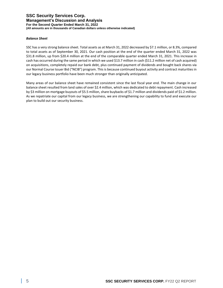### **SSC Security Services Corp. Management's Discussion and Analysis For the Second Quarter Ended March 31, 2022**

**(All amounts are in thousands of Canadian dollars unless otherwise indicated)**

#### *Balance Sheet*

SSC has a very strong balance sheet. Total assets as at March 31, 2022 decreased by \$7.1 million, or 8.3%, compared to total assets as of September 30, 2021. Our cash position at the end of the quarter ended March 31, 2022 was \$31.8 million, up from \$20.4 million at the end of the comparable quarter ended March 31, 2021. This increase in cash has occurred during the same period in which we used \$13.7 million in cash (\$11.2 million net of cash acquired) on acquisitions, completely repaid our bank debt, plus continued payment of dividends and bought back shares via our Normal Course Issuer Bid ("NCIB") program. This is because continued buyout activity and contract maturities in our legacy business portfolio have been much stronger than originally anticipated.

Many areas of our balance sheet have remained consistent since the last fiscal year end. The main change in our balance sheet resulted from land sales of over \$2.4 million, which was dedicated to debt repayment. Cash increased by \$3 million on mortgage buyouts of \$5.5 million, share buybacks of \$1.7 million and dividends paid of \$1.2 million. As we repatriate our capital from our legacy business, we are strengthening our capability to fund and execute our plan to build out our security business.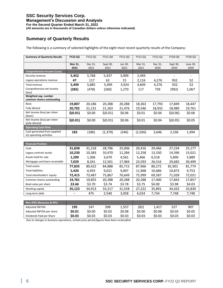# **Summary of Quarterly Results**

The following is a summary of selected highlights of the eight most recent quarterly results of the Company:

| <b>Summary of Quarterly Results</b>                      | FY22-Q2         | FY22-Q1         | FY21-Q4          | FY21-Q3         | FY21-Q2         | FY21-Q1         | FY20-Q4          | FY20-Q3          |
|----------------------------------------------------------|-----------------|-----------------|------------------|-----------------|-----------------|-----------------|------------------|------------------|
|                                                          | Mar 31,<br>2022 | Dec 31,<br>2021 | Sept 30,<br>2021 | Jun 30,<br>2021 | Mar 31,<br>2021 | Dec 31,<br>2020 | Sept 30,<br>2020 | June 30,<br>2020 |
| <b>Comprehensive Income (Loss)</b>                       |                 |                 |                  |                 |                 |                 |                  |                  |
| Security revenue                                         | 5,452           | 5,768           | 5,437            | 3,909           | 2,493           |                 |                  |                  |
| Legacy operations revenue                                | 47              | 117             | 62               | 15              | 2,116           | 4,276           | 932              | 52               |
| Total revenue                                            | 5,499           | 5,885           | 5,499            | 3,924           | 4,609           | 4,276           | 932              | 52               |
| Comprehensive net income<br>(loss)                       | (285)           | (478)           | (260)            | 1,270           | 117             | 739             | (992)            | 1,067            |
| Weighted avg. number                                     |                 |                 |                  |                 |                 |                 |                  |                  |
| common shares outstanding                                |                 |                 |                  |                 |                 |                 |                  |                  |
| Basic                                                    | 19,807          | 20,186          | 20,288           | 20,288          | 18,363          | 17,793          | 17,849           | 18,447           |
| Fully diluted                                            | 20,702          | 21,131          | 21,263           | 21,476          | 19,546          | 18,932          | 18,989           | 19,761           |
| Net Income (loss) per share<br>(basic)                   | \$(0.01)        | \$0.00          | \$(0.01)         | \$0.06          | \$0.01          | \$0.04          | \$(0.06)         | \$0.06           |
| Net Income (loss) per share<br>(fully diluted)           | \$(0.01)        | \$0.00          | \$(0.01)         | \$0.06          | \$0.01          | \$0.04          | \$(0.05)         | \$0.05           |
| <b>Operating Cash Flow</b>                               |                 |                 |                  |                 |                 |                 |                  |                  |
| Cash generated from (applied<br>to) operating activities | 183             | (186)           | (1, 379)         | (246)           | (1,026)         | 3,646           | 2,336            | 1,494            |

| <b>Financial Position</b>      |        |        |        |        |        |        |        |        |
|--------------------------------|--------|--------|--------|--------|--------|--------|--------|--------|
| Cash                           | 31,838 | 31,218 | 28,796 | 25,006 | 20,416 | 29,466 | 27,234 | 25,177 |
| Legacy contract assets         | 10,230 | 10,383 | 10,470 | 11,284 | 12,258 | 13,330 | 14,396 | 15,021 |
| Assets held for sale           | 1,299  | 1,306  | 3,670  | 4,561  | 5,466  | 6,518  | 5,890  | 5,889  |
| Mortgages and loans receivable | 7,029  | 8,341  | 12,501 | 17,984 | 23,593 | 26,516 | 29,682 | 30,499 |
| Total assets                   | 77.835 | 80,422 | 84,888 | 85,715 | 87,966 | 80,272 | 81,901 | 81,774 |
| <b>Total liabilities</b>       | 5.420  | 6,935  | 9,021  | 9,007  | 11.968 | 10,686 | 10,873 | 9,753  |
| Total shareholders' equity     | 72,415 | 73,487 | 75,867 | 76,649 | 75,999 | 69,587 | 71,028 | 72,021 |
| Common shares outstanding      | 19,781 | 19,855 | 20,288 | 20,288 | 20,288 | 17,400 | 17,843 | 17,857 |
| Book value per share           | \$3.66 | \$3.70 | \$3.74 | \$3.78 | \$3.75 | \$4.00 | \$3.98 | \$4.03 |
| Working capital                | 35,123 | 34,913 | 33,217 | 31,558 | 27,222 | 35,891 | 34,432 | 33,830 |
| Long-term debt                 |        | 475    | 2,540  | 3,058  | 6,024  | 7,734  | 7,748  | 7,748  |

| Non-IFRS Measures & KPIs  |        |        |        |        |        |        |        |        |
|---------------------------|--------|--------|--------|--------|--------|--------|--------|--------|
| Adjusted EBITDA           | 195    | 147    | 398    | 1.557  | (82)   | 1,417  | 527    | 907    |
| Adjusted EBITDA per share | \$0.01 | \$0.00 | \$0.02 | \$0.08 | \$0.00 | \$0.08 | \$0.03 | \$0.05 |
| Dividends Paid per Share  | \$0.03 | \$0.03 | \$0.03 | \$0.03 | \$0.03 | \$0.03 | \$0.03 | \$0.03 |

*Due to changes in business operations, certain prior period figures have been reclassified.*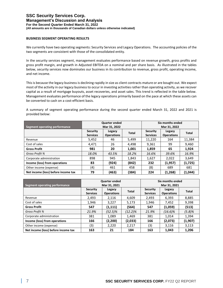#### **BUSINESS SEGMENT OPERATING RESULTS**

We currently have two operating segments: Security Services and Legacy Operations. The accounting policies of the two segments are consistent with those of the consolidated entity.

In the security services segment, management evaluates performance based on revenue growth, gross profits and gross profit margin, and growth in Adjusted EBITDA on a nominal and per share basis. As illustrated in the tables below, security services now dominates our business in its contribution to revenue, gross profit, operating income, and net income.

This is because the legacy business is declining rapidly in size as client contracts mature or are bought out. We expect most of the activity in our legacy business to occur in investing activities rather than operating activity, as we recover capital as a result of mortgage buyouts, asset recoveries, and asset sales. This trend is reflected in the table below. Management evaluates performance of the legacy operations primarily based on the pace at which these assets can be converted to cash on a cost-efficient basis.

A summary of segment operating performance during the second quarter ended March 31, 2022 and 2021 is provided below:

| Segment operating performance       |                                    | <b>Quarter ended</b><br>Mar 31, 2022 |       | Six months ended<br>Mar 31, 2022   |                             |              |
|-------------------------------------|------------------------------------|--------------------------------------|-------|------------------------------------|-----------------------------|--------------|
|                                     | <b>Security</b><br><b>Services</b> | Legacy<br><b>Operations</b>          | Total | <b>Security</b><br><b>Services</b> | Legacy<br><b>Operations</b> | <b>Total</b> |
| Revenue                             | 5,452                              | 46                                   | 5,499 | 11,220                             | 164                         | 11,384       |
| Cost of sales                       | 4.471                              | 26                                   | 4,498 | 9.361                              | 99                          | 9,460        |
| <b>Gross Profit</b>                 | 981                                | 20                                   | 1,001 | 1,859                              | 65                          | 1,924        |
| Gross Profit %                      | 18.0%                              | 43.5%                                | 18.2% | 16.6%                              | 39.6%                       | 16.9%        |
| Corporate administration            | 898                                | 945                                  | 1,843 | 1,627                              | 2,022                       | 3,649        |
| Income (loss) from operations       | 83                                 | (924)                                | (842) | 232                                | (1,957)                     | (1,725)      |
| Other income (expense)              | (4)                                | 461                                  | 458   | (8)                                | 689                         | 681          |
| Net income (loss) before income tax | 79                                 | (463)                                | (384) | 224                                | (1,268)                     | (1,044)      |

| Segment operating performance       |                                    | <b>Quarter ended</b><br>Mar 31, 2021 |              | Six months ended<br>Mar 31, 2021   |                             |         |
|-------------------------------------|------------------------------------|--------------------------------------|--------------|------------------------------------|-----------------------------|---------|
|                                     | <b>Security</b><br><b>Services</b> | Legacy<br><b>Operations</b>          | <b>Total</b> | <b>Security</b><br><b>Services</b> | Legacy<br><b>Operations</b> | Total   |
| Revenue                             | 2,493                              | 2,116                                | 4,609        | 2,493                              | 6,393                       | 8,885   |
| Cost of sales                       | 1,946                              | 3.227                                | 5,173        | 1,946                              | 7,452                       | 9,398   |
| <b>Gross Profit</b>                 | 547                                | (1, 111)                             | (564)        | 547                                | (1,059)                     | (513)   |
| Gross Profit %                      | 21.9%                              | $(52.5)\%$                           | (12.2)%      | 21.9%                              | (16.6)%                     | (5.8)%  |
| Corporate administration            | 381                                | 1,089                                | 1,469        | 381                                | 1,014                       | 1,394   |
| Income (loss) from operations       | 166                                | (2,200)                              | (2,033)      | 166                                | (2,073)                     | (1,907) |
| Other income (expense)              | (3)                                | 2,220                                | 2,217        | (3)                                | 3,116                       | 3,113   |
| Net income (loss) before income tax | 163<br>184<br>163<br>21<br>1,043   |                                      |              | 1,206                              |                             |         |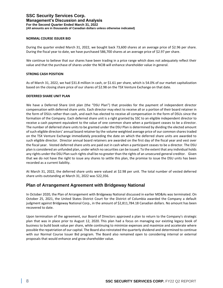#### **NORMAL COURSE ISSUER BID**

During the quarter ended March 31, 2022, we bought back 73,600 shares at an average price of \$2.96 per share. During the fiscal year to date, we have purchased 586,700 shares at an average price of \$2.97 per share.

We continue to believe that our shares have been trading in a price range which does not adequately reflect their value and that the purchase of shares under the NCIB will enhance shareholder value in general.

#### **STRONG CASH POSITION**

As of March 31, 2022, we had \$31.8 million in cash, or \$1.61 per share, which is 54.0% of our market capitalization based on the closing share price of our shares of \$2.98 on the TSX Venture Exchange on that date.

#### **DEFERRED SHARE UNIT PLAN**

We have a Deferred Share Unit plan (the "DSU Plan") that provides for the payment of independent director compensation with deferred share units. Each director may elect to receive all or a portion of their board retainer in the form of DSUs rather than cash, and each has elected to receive all compensation in the form of DSUs since the formation of the Company. Each deferred share unit is a right granted by SSC to an eligible independent director to receive a cash payment equivalent to the value of one common share when a participant ceases to be a director. The number of deferred share units to be granted under the DSU Plan is determined by dividing the elected amount of such eligible directors' annual board retainer by the volume weighted average price of our common shares traded on the TSX Venture Exchange immediately preceding the date on which the deferred share units are awarded to such eligible director. Director annual board retainers are awarded on the first day of the fiscal year and vest over the fiscal year. Vested deferred share units are paid out in cash when a participant ceases to be a director. The DSU plan is considered an unfunded plan, under which no securities can be issued. To the extent that any individual holds any rights under the DSU Plan such rights shall be no greater than the rights of an unsecured general creditor. Given that we do not have the right to issue any shares to settle this plan, the promise to issue the DSU units has been recorded as a current liability.

At March 31, 2022, the deferred share units were valued at \$2.98 per unit. The total number of vested deferred share units outstanding at March 31, 2022 was 522,356.

## **Plan of Arrangement Agreement with Bridgeway National**

In October 2020, the Plan of Arrangement with Bridgeway National discussed in earlier MD&As was terminated. On October 25, 2021, the United States District Court for the District of Columbia awarded the Company a default judgment against Bridgeway National Corp., in the amount of \$2,811,784.18 Canadian dollars. No amount has been recovered to date.

Upon termination of the agreement, our Board of Directors approved a plan to return to the Company's strategic plan that was in place prior to August 12, 2020. This plan had a focus on managing our existing legacy book of business to build book value per share, while continuing to minimize expenses and maximize and accelerate where possible the repatriation of our capital. The Board also reinstated the quarterly dividend and determined to continue with our Normal Course Issuer Bid program. The Board also remained open to considering internal or external proposals that would enhance and grow shareholder value.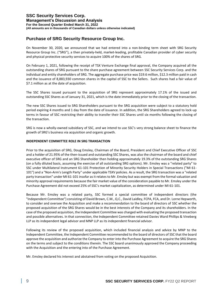## **Purchase of SRG Security Resource Group Inc.**

On November 30, 2020, we announced that we had entered into a non-binding term sheet with SRG Security Resource Group Inc. ("SRG"), a then privately-held, market-leading, profitable Canadian provider of cyber security and physical protective security services to acquire 100% of the shares of SRG.

On February 1, 2021, following the receipt of TSX Venture Exchange final approval, the Company acquired all the outstanding shares of SRG pursuant to the share purchase agreement between SSC Security Services Corp. and the individual and entity shareholders of SRG. The aggregate purchase price was \$19.6 million, \$12.3 million paid in cash and the issuance of 8,883,930 common shares in the capital of SSC to the Sellers. Such shares had a fair value of \$7.1 million as at the date of acquisition.

The SSC Shares issued pursuant to the acquisition of SRG represent approximately 17.1% of the issued and outstanding SSC Shares as of January 31, 2021, which is the date immediately prior to the closing of the transaction.

The new SSC Shares issued to SRG Shareholders pursuant to the SRG acquisition were subject to a statutory hold period expiring 4 months and 1 day from the date of issuance. In addition, the SRG Shareholders agreed to lock-up terms in favour of SSC restricting their ability to transfer their SSC Shares until six months following the closing of the transaction.

SRG is now a wholly-owned subsidiary of SSC, and we intend to use SSC's very strong balance sheet to finance the growth of SRG's business via acquisition and organic growth.

#### **INDEPENDENT COMMITTEE ROLE IN SRG TRANSACTION**

Prior to the acquisition of SRG, Doug Emsley, Chairman of the Board, President and Chief Executive Officer of SSC and a holder of 21.95% of the then-issued and outstanding SSC Shares, was also the chairman of the board and chief executive officer of SRG and an SRG Shareholder then holding approximately 19.3% of the outstanding SRG Shares (on a fully diluted basis, assuming the exercise of all outstanding SRG options). Mr. Emsley was a "related party" to SSC under Multilateral Instrument 61-101 Protection of Minority Security Holders in Special Transactions ("MI 61- 101") and a "Non-Arm's Length Party" under applicable TSXV policies. As a result, the SRG transaction was a "related party transaction" under MI 61-101 insofar as it relates to Mr. Emsley but was exempt from the formal valuation and minority approval requirements because the fair market value of the consideration payable to Mr. Emsley under the Purchase Agreement did not exceed 25% of SSC's market capitalization, as determined under MI 61-101.

Because Mr. Emsley was a related party, SSC formed a special committee of independent directors (the "Independent Committee") consisting of David Brown, C.M., Q.C., David Laidley, FCPA, FCA, and Dr. Lorne Hepworth, to consider and oversee the Acquisition and make a recommendation to the board of directors of SSC whether the proposed acquisition of the SRG Shares would be in the best interests of the Company and its shareholders. In the case of the proposed acquisition, the Independent Committee was charged with evaluating the proposed transaction and possible alternatives. In that connection, the Independent Committee retained Davies Ward Phillips & Vineberg LLP as its independent legal advisor and MNP LLP as its independent financial advisor.

Following its review of the proposed acquisition, which included financial analysis and advice by MNP to the Independent Committee, the Independent Committee recommended to the board of directors of SSC that the board approve the acquisition and authorize the Company to enter into the Purchase Agreement to acquire the SRG Shares on the terms and subject to the conditions therein. The SSC board unanimously approved the Company proceeding with the Acquisition and the entering into of the Purchase Agreement.

Mr. Emsley declared his interest and abstained from voting on the proposed Acquisition.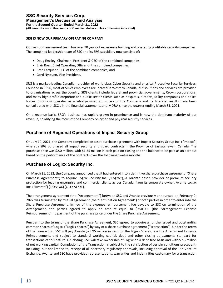#### **SRG IS NOW OUR PRIMARY OPERATING COMPANY**

Our senior management team has over 70 years of experience building and operating profitable security companies. The combined leadership team of SSC and its SRG subsidiary now consists of:

- Doug Emsley, Chairman, President & CEO of the combined companies;
- Blair Ross, Chief Operating Officer of the combined companies;
- Brad Farquhar, CFO of the combined companies; and
- Gord Nystuen, Vice President.

SRG is a market-leading Canadian provider of world-class Cyber Security and physical Protective Security Services. Founded in 1996, most of SRG's employees are located in Western Canada, but solutions and services are provided to organizations across the country. SRG clients include federal and provincial governments, Crown corporations, and many high profile corporate and public sector clients such as hospitals, airports, utility companies and police forces. SRG now operates as a wholly-owned subsidiary of the Company and its financial results have been consolidated with SSC's in the financial statements and MD&A since the quarter ending March 31, 2021.

On a revenue basis, SRG's business has rapidly grown in prominence and is now the dominant majority of our revenue, solidifying the focus of the Company on cyber and physical security services.

## **Purchase of Regional Operations of Impact Security Group**

On July 10, 2021, the Company completed an asset purchase agreement with Impact Security Group Inc. ("Impact") whereby SRG purchased all Impact security and guard contracts in the Province of Saskatchewan, Canada. The purchase price was \$2.0 million, with \$1.35 million in cash paid on closing and the balance to be paid as an earnout based on the performance of the contracts over the following twelve months.

## **Purchase of Logixx Security Inc.**

On March 31, 2022, the Company announced that it had entered into a definitive share purchase agreement ("Share Purchase Agreement") to acquire Logixx Security Inc. ("Logixx"), a Toronto-based provider of premium security protection for leading enterprise and commercial clients across Canada, from its corporate owner, Avante Logixx Inc. ("Avante") (TSXV: XX) (OTC: ALXXF).

The arrangement agreement (the "Arrangement") between SSC and Avante previously announced on February 9, 2022 was terminated by mutual agreement (the "Termination Agreement") of both parties in order to enter into the Share Purchase Agreement. In lieu of the expense reimbursement fee payable to SSC on termination of the Arrangement, the parties agreed to apply an amount equal to \$750,000 (the "Arrangement Expense Reimbursement") to payment of the purchase price under the Share Purchase Agreement.

Pursuant to the terms of the Share Purchase Agreement, SSC agreed to acquire all of the issued and outstanding common shares of Logixx ("Logixx Shares") by way of a share purchase agreement ("Transaction"). Under the terms of the Transaction, SSC will pay Avante \$23.95 million in cash for the Logixx Shares, less the Arrangment Expense Reimbursement, and subject to standard working capital, debt and other closing adjustments standard for transactions of this nature. On closing, SSC will take ownership of Logixx on a debt-free basis and with \$7.5 million of net working capital. Completion of the Transaction is subject to the satisfaction of certain conditions precedent, including, but not limited to, receipt of all necessary regulatory approvals, including approval of the TSX Venture Exchange. Avante and SSC have provided representations, warranties and indemnities customary for a transaction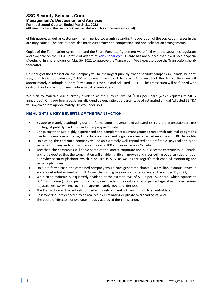of this nature, as well as customary interim period covenants regarding the operation of the Logixx businesses in the ordinary course. The parties have also made customary non-competition and non-solicitation arrangements.

Copies of the Termination Agreement and the Share Purchase Agreement were filed with the securities regulators and available on the SEDAR profile of Avante at [www.sedar.com.](http://www.sedar.com/) Avante has announced that it will hold a Special Meeting of its shareholders on May 30, 2022 to approve the Transaction. We expect to close the Transaction shortly thereafter.

On closing of the Transaction, the Company will be the largest publicly-traded security company in Canada, be debtfree, and have approximately 2,100 employees from coast to coast. As a result of the Transaction, we will approximately quadruple our pro forma annual revenue and Adjusted EBITDA. The Transaction will be funded with cash on hand and without any dilution to SSC shareholders.

We plan to maintain our quarterly dividend at the current level of \$0.03 per Share (which equates to \$0.12 annualized). On a pro forma basis, our dividend payout ratio as a percentage of estimated annual Adjusted EBITDA will improve from approximately 80% to under 35%.

### **HIGHLIGHTS & KEY BENEFITS OF THE TRANSACTION**

- By approximately quadrupling our pro forma annual revenue and adjusted EBITDA, the Transaction creates the largest publicly-traded security company in Canada;
- Brings together two highly-experienced and complementary management teams with minimal geographic overlap to leverage our large, liquid balance sheet and Logixx's well-established revenue and EBITDA profile;
- On closing, the combined company will be an extremely well-capitalized and profitable, physical and cyber security company with critical mass and over 2,100 employees across Canada;
- Together, the companies will serve some of the largest corporate and public sector enterprises in Canada, and it is expected that the combination will enable significant growth and cross-selling opportunities for both our cyber security platform, which is housed in SRG, as well as for Logixx's tech-enabled monitoring and security platforms;
- On a pro forma basis, the combined company would have generated almost \$100 million in annual revenue and a substantial amount of EBITDA over the trailing twelve-month period ended December 31, 2021;
- We plan to maintain our quarterly dividend at the current level of \$0.03 per SSC Share (which equates to \$0.12 annualized). On a pro forma basis, our dividend payout ratio as a percentage of estimated annual Adjusted EBITDA will improve from approximately 80% to under 35%;
- The Transaction will be entirely funded with cash on hand with no dilution to shareholders;
- Cost synergies are expected to be realized by eliminating duplicate overhead costs; and
- The board of directors of SSC unanimously approved the Transaction.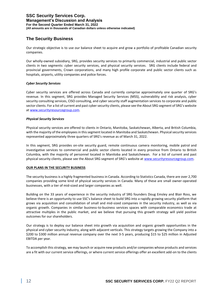# **The Security Business**

Our strategic objective is to use our balance sheet to acquire and grow a portfolio of profitable Canadian security companies.

Our wholly-owned subsidiary, SRG, provides security services to primarily commercial, industrial and public sector clients in two segments: cyber security services, and physical security services. SRG clients include federal and provincial governments, Crown corporations, and many high profile corporate and public sector clients such as hospitals, airports, utility companies and police forces.

#### *Cyber Security Services*

Cyber security services are offered across Canada and currently comprise approximately one quarter of SRG's revenue. In this segment, SRG provides Managed Security Services (MSS), vulnerability and risk analysis, cyber security consulting services, CISO consulting, and cyber security staff augmentation services to corporate and public sector clients. For a list of current and past cyber security clients, please see the About SRG segment of SRG's website a[t www.securityresourcegroup.com.](http://www.securityresourcegroup.com/)

#### *Physical Security Services*

Physical security services are offered to clients in Ontario, Manitoba, Saskatchewan, Alberta, and British Columbia, with the majority of the employees in this segment located in Manitoba and Saskatchewan. Physical security services represented approximately three quarters of SRG's revenue as of March 31, 2022.

In this segment, SRG provides on-site security guard, remote continuous camera monitoring, mobile patrol and investigative services to commercial and public sector clients located in every province from Ontario to British Columbia, with the majority of personnel located in Manitoba and Saskatchewan. For a list of current and past physical security clients, please see the About SRG segment of SRG's website at [www.securityresourcegroup.com.](http://www.securityresourcegroup.com/)

#### **OUR PLANS IN THE SECURITY BUSINESS**

The security business is a highly fragmented business in Canada. According to Statistics Canada, there are over 2,700 companies providing some kind of physical security services in Canada. Many of these are small owner-operated businesses, with a tier of mid-sized and larger companies as well.

Building on the 33 years of experience in the security industry of SRG founders Doug Emsley and Blair Ross, we believe there is an opportunity to use SSC's balance sheet to build SRG into a rapidly growing security platform that grows via acquisition and consolidation of small and mid-sized companies in the security industry, as well as via organic growth. Companies in similar business-to-business services spaces with comparable economics trade at attractive multiples in the public market, and we believe that pursuing this growth strategy will yield positive outcomes for our shareholders.

Our strategy is to deploy our balance sheet into growth via acquisition and organic growth opportunities in the physical and cyber security industry, along with adjacent verticals. This strategy targets growing the Company into a \$200 to \$300 million annual revenue company over the next 3-5 years, producing \$15 to \$25 million in Adjusted EBITDA per year.

To accomplish this strategy, we may launch or acquire new products and/or companies whose products and services are a fit with our current service offerings, or where current service offerings offer an excellent add-on to the clients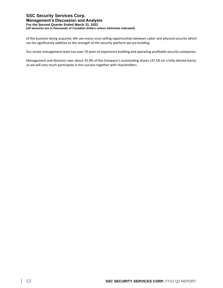of the business being acquired. We see many cross-selling opportunities between cyber and physical security which can be significantly additive to the strength of the security platform we are building.

Our senior management team has over 70 years of experience building and operating profitable security companies.

Management and directors own about 35.9% of the Company's outstanding shares (37.5% on a fully-diluted basis), so we will very much participate in this success together with shareholders.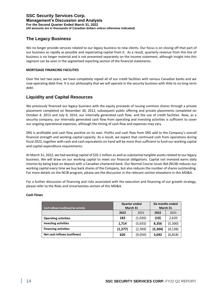## **The Legacy Business**

We no longer provide services related to our legacy business to new clients. Our focus is on closing off that part of our business as rapidly as possible and repatriating capital from it. As a result, quarterly revenue from this line of business is no longer material and is not presented separately on the income statement, although insight into this segment can be seen in the segmented reporting section of the financial statements.

#### **MORTGAGE FINANCING FACILITIES**

Over the last two years, we have completely repaid all of our credit facilities with various Canadian banks and we now operating debt-free. It is our philosophy that we will operate in the security business with little to no long-term debt.

## **Liquidity and Capital Resources**

We previously financed our legacy business with the equity proceeds of issuing common shares through a private placement completed on November 30, 2012, subsequent public offering and private placements completed on October 4, 2013 and July 9, 2014, our internally generated cash flow, and the use of credit facilities. Now, as a security company, our internally generated cash flow from operating and investing activities is sufficient to cover our ongoing operational expenses, although the timing of cash flow and expenses may vary.

SRG is profitable and cash flow positive on its own. Profits and cash flow from SRG add to the Company's overall financial strength and working capital capacity. As a result, we expect that continued cash from operations during fiscal 2022, together with cash and cash equivalents on hand will be more than sufficient to fund our working capital and capital expenditure requirements.

At March 31, 2022, we had working capital of \$35.1 million as well as substantial tangible assets related to our legacy business. We will draw on our working capital to meet our financial obligations. Capital not invested earns daily interest by being kept on deposit with a Canadian chartered bank. Our Normal Course Issuer Bid (NCIB) reduces our working capital every time we buy back shares of the Company, but also reduces the number of shares outstanding. For more details on the NCIB program, please see the discussion in the relevant section elsewhere in this MD&A.

For a further discussion of financing and risks associated with the execution and financing of our growth strategy, please refer to the Risks and Uncertainties section of this MD&A.

| Cash inflows (outflows) by activity | <b>Quarter ended</b><br>March 31 |         | Six months ended<br>March 31 |          |  |
|-------------------------------------|----------------------------------|---------|------------------------------|----------|--|
|                                     | 2022                             | 2021    | 2022                         | 2021     |  |
| <b>Operating activities</b>         | 183                              | (1,026) | (10)                         | 2,620    |  |
| <b>Investing activities</b>         | 1,714                            | (5,655) | 8.356                        | (5,300)  |  |
| <b>Financing activities</b>         | (1, 277)                         | (2,369) | (5,304)                      | (4, 138) |  |
| Net cash inflows (outflows)         | 620                              | (9,050) | 3,042                        | (6, 818) |  |

#### **Cash Flows**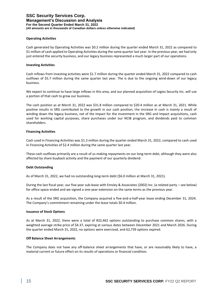#### **Operating Activities**

Cash generated by Operating Activities was \$0.2 million during the quarter ended March 31, 2022 as compared to \$1 million of cash applied to Operating Activities during the same quarter last year. In the previous year, we had only just entered the security business, and our legacy business represented a much larger part of our operations.

#### **Investing Activities**

Cash inflows from investing activities were \$1.7 million during the quarter ended March 31, 2022 compared to cash outflows of \$5.7 million during the same quarter last year. The is due to the ongoing wind-down of our legacy business.

We expect to continue to have large inflows in this area, and our planned acquisition of Logixx Security Inc. will use a portion of that cash to grow our business.

The cash position as at March 31, 2022 was \$31.8 million compared to \$20.4 million as at March 31, 2021. While positive results in SRG contributed to the growth in our cash position, the increase in cash is mainly a result of winding down the legacy business, net of the impact for the investment in the SRG and Impact acquisitions, cash used for working capital purposes, share purchases under our NCIB program, and dividends paid to common shareholders.

#### **Financing Activities**

Cash used in Financing Activities was \$1.3 million during the quarter ended March 31, 2022, compared to cash used in Financing Activities of \$2.4 million during the same quarter last year.

These cash outflows primarily are a result of us making repayments on our long-term debt, although they were also affected by share buyback activity and the payment of our quarterly dividend.

#### **Debt Outstanding**

As of March 31, 2022, we had no outstanding long-term debt (\$6.0 million at March 31, 2021).

During the last fiscal year, our five-year sub-lease with Emsley & Associates (2002) Inc. (a related party – see below) for office space ended and we signed a one-year extension on the same terms as the previous year.

As a result of the SRG acquisition, the Company acquired a five-and-a-half-year lease ending December 31, 2024. The Company's commitment remaining under the lease totals \$0.4 million.

#### **Issuance of Stock Options**

As at March 31, 2022, there were a total of 832,462 options outstanding to purchase common shares, with a weighted average strike price of \$4.37, expiring at various dates between December 2021 and March 2026. During the quarter ended March 31, 2022, no options were exercised, and 62,739 options expired.

#### **Off Balance Sheet Arrangements**

The Company does not have any off-balance sheet arrangements that have, or are reasonably likely to have, a material current or future effect on its results of operations or financial condition.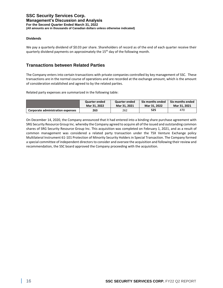#### **Dividends**

We pay a quarterly dividend of \$0.03 per share. Shareholders of record as of the end of each quarter receive their quarterly dividend payments on approximately the 15<sup>th</sup> day of the following month.

## **Transactions between Related Parties**

The Company enters into certain transactions with private companies controlled by key management of SSC. These transactions are in the normal course of operations and are recorded at the exchange amount, which is the amount of consideration established and agreed to by the related parties.

Related party expenses are summarized in the following table:

|                                          | Quarter ended | Quarter ended | Six months ended | Six months ended |
|------------------------------------------|---------------|---------------|------------------|------------------|
|                                          | Mar 31, 2022  | Mar 31, 2021  | Mar 31, 2022     | Mar 31, 2021     |
| <b>Corporate administration expenses</b> | 263           | 262           | 525              | 470              |

On December 14, 2020, the Company announced that it had entered into a binding share purchase agreement with SRG Security Resource Group Inc. whereby the Company agreed to acquire all of the issued and outstanding common shares of SRG Security Resource Group Inc. This acquisition was completed on February 1, 2021, and as a result of common management was considered a related party transaction under the TSX Venture Exchange policy Multilateral Instrument 61-101 Protection of Minority Security Holders in Special Transaction. The Company formed a special committee of independent directors to consider and oversee the acquisition and following their review and recommendation, the SSC board approved the Company proceeding with the acquisition.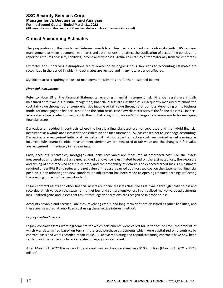# **Critical Accounting Estimates**

The preparation of the condensed interim consolidated financial statements in conformity with IFRS requires management to make judgments, estimates and assumptions that affect the application of accounting policies and reported amounts of assets, liabilities, income and expenses. Actual results may differ materially from the estimates.

Estimates and underlying assumptions are reviewed on an ongoing basis. Revisions to accounting estimates are recognized in the period in which the estimates are revised and in any future period affected.

Significant areas requiring the use of management estimates are further described below:

#### *Financial Instruments*

Refer to Note 18 of the Financial Statements regarding financial instrument risk. Financial assets are initially measured at fair value. On initial recognition, financial assets are classified as subsequently measured at amortized cost, fair value through other comprehensive income or fair value through profit or loss, depending on its business model for managing the financial assets and the contractual cash flow characteristics of the financial assets. Financial assets are not reclassified subsequent to their initial recognition, unless SSC changes its business model for managing financial assets.

Derivatives embedded in contracts where the host is a financial asset are not separated and the hybrid financial instrument as a whole are assessed for classification and measurement. SSC has chosen not to use hedge accounting. Derivatives are recognized initially at fair value with attributable transaction costs recognized in net earnings as incurred. Subsequent to initial measurement, derivatives are measured at fair value and the changes in fair value are recognized immediately in net earnings.

Cash, accounts receivables, mortgages and loans receivable are measured at amortized cost. For the assets measured at amortized cost an expected credit allowance is estimated based on the estimated loss, the exposure and timing of cash received at a future date, and the probability of default. The expected credit loss is an estimate required under IFRS 9 and reduces the net value of the assets carried at amortized cost on the statement of financial position. Upon adopting the new standard, an adjustment has been made to opening retained earnings reflecting the opening impact of the new standard.

Legacy contract assets and other financial assets are financial assets classified as fair value through profit or loss and recorded at fair value on the statement of net loss and comprehensive loss in unrealized market value adjustments loss. Realized gains and losses that result from legacy operations are recognized in profit or loss.

Accounts payable and accrued liabilities, revolving credit, and long-term debt are classified as other liabilities, and these are measured at amortized cost using the effective interest method.

#### *Legacy contract assets*

Legacy contract assets were agreements for which settlements were called for in tonnes of crop, the amount of which was determined based on terms in the crop purchase agreements which were capitalized on a contract by contract basis and were recorded at fair value. All active marketing and capital streaming contracts have now been settled, and the remaining balance relates to legacy contract assets.

As at March 31, 2022 the value of these assets on our balance sheet was \$10.2 million (March 31, 2021 - \$12.3 million).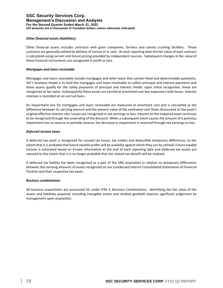#### *Other financial assets (liabilities)*

Other financial assets includes contracts with grain companies, farmers and canola crushing facilities. These contracts are generally settled by delivery of tonnes or in cash. At each reporting date the fair value of each contract is calculated using current and future pricing provided by independent sources. Subsequent changes in fair value of these financial instruments are recognized in profit or loss.

#### *Mortgages and loans receivable*

Mortgages and loans receivable include mortgages and other loans that contain fixed and determinable payments. SSC's business model is to hold the mortgages and loans receivable to collect principal and interest payments and these assets qualify for the solely payments of principal and interest model. Upon initial recognition, these are recognized at fair value. Subsequently these assets are carried at amortized cost less expected credit losses. Interest revenue is recorded on an accrual basis.

An impairment loss for mortgages and loans receivable are measured at amortized cost and is calculated as the difference between its carrying amount and the present value of the estimated cash flows discounted at the asset's original effective interest rate. Losses are recognized in net earnings or loss. Interest on the impaired asset continues to be recognized through the unwinding of the discount. When a subsequent event causes the amount of a previous impairment loss to reverse or partially reverse, the decrease in impairment is reversed through net earnings or loss.

#### *Deferred income taxes*

A deferred tax asset is recognized for unused tax losses, tax credits and deductible temporary differences, to the extent that it is probable that future taxable profits will be available against which they can be utilized. Future taxable income is estimated based on known information at the end of each reporting date and deferred tax assets are reduced to the extent that it is no longer probable that the related tax benefit will be realized.

A deferred tax liability has been recognized as a part of the SRG acquisition in relation to temporary differences between the carrying amounts of assets recognized on our Condensed Interim Consolidated Statements of Financial Position and their respective tax bases.

#### *Business combinations*

All business acquisitions are accounted for under IFRS 3, Business Combinations. Identifying the fair value of the assets and liabilities acquired, including intangible assets and residual goodwill requires significant judgement by management upon acquisition.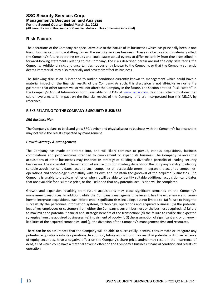## **Risk Factors**

The operations of the Company are speculative due to the nature of its businesses which has principally been in one line of business and is now shifting toward the security services business. These risk factors could materially affect the Company's future operating results and could cause actual events to differ materially from those described in forward-looking statements relating to the Company. The risks described herein are not the only risks facing the Company. Additional risks and uncertainties not currently known to the Company, or that the Company currently deems immaterial, may also materially and adversely affect its business.

The following discussion is intended to outline conditions currently known to management which could have a material impact on the financial results of the Company. As such, this discussion is not all-inclusive nor is it a guarantee that other factors will or will not affect the Company in the future. The section entitled "Risk Factors" in the Company's Annual Information Form, available on SEDAR at [www.sedar.com,](http://www.sedar.com/) describes other conditions that could have a material impact on the financial results of the Company, and are incorporated into this MD&A by reference.

#### **RISKS RELATING TO THE COMPANY'S SECURITY BUSINESS**

#### *SRG Business Plan*

The Company's plans to back and grow SRG's cyber and physical security business with the Company's balance sheet may not yield the results expected by management.

#### *Growth Strategy & Management*

The Company has made or entered into, and will likely continue to pursue, various acquisitions, business combinations and joint ventures intended to complement or expand its business. The Company believes the acquisitions of other businesses may enhance its strategy of building a diversified portfolio of leading security businesses. The successful implementation of such acquisition strategy depends on the Company's ability to identify suitable acquisition candidates, acquire such companies on acceptable terms, integrate the acquired companies' operations and technology successfully with its own and maintain the goodwill of the acquired businesses. The Company is unable to predict whether or when it will be able to identify suitable additional acquisition candidates that are available for a suitable price, or the likelihood that any potential acquisition will be completed.

Growth and expansion resulting from future acquisitions may place significant demands on the Company's management resources. In addition, while the Company's management believes it has the experience and knowhow to integrate acquisitions, such efforts entail significant risks including, but not limited to: (a) failure to integrate successfully the personnel, information systems, technology, operations and acquired business; (b) the potential loss of key employees or customers from either the Company's current business or the business acquired; (c) failure to maximize the potential financial and strategic benefits of the transaction; (d) the failure to realize the expected synergies from the acquired businesses; (e) impairment of goodwill; (f) the assumption of significant and or unknown liabilities of the acquired companies; and (g) the diversion of the Company's management time and resources.

There can be no assurances that the Company will be able to successfully identify, consummate or integrate any potential acquisitions into its operations. In addition, future acquisitions may result in potentially dilutive issuance of equity securities, have a negative effect on the Company's share price, and/or may result in the incurrence of debt, all of which could have a material adverse effect on the Company's business, financial condition and results of operation.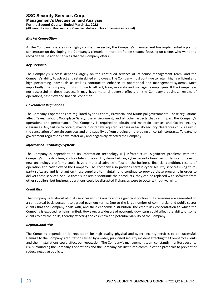#### *Market Competition*

As the Company operates in a highly competitive sector, the Company's management has implemented a plan to concentrate on developing the Company's clientele in more profitable sectors, focusing on clients who want and recognize value added services that the Company offers.

#### *Key Personnel*

The Company's success depends largely on the continued services of its senior management team, and the Company's ability to attract and retain skilled employees. The Company must continue to retain highly efficient and high performing individuals as well as continue to enhance its operational and management systems. Most importantly, the Company must continue to attract, train, motivate and manage its employees. If the Company is not successful in these aspects, it may have material adverse effects on the Company's business, results of operations, cash flow and financial condition.

#### *Government Regulations*

The Company's operations are regulated by the Federal, Provincial and Municipal governments. These regulations affect Taxes, Labour, Workplace Safety, the environment, and all other aspects that can impact the Company's operations and performance. The Company is required to obtain and maintain licenses and facility security clearances. Any failure to obtain, maintain or renew required licenses or facility security clearances could result in the cancelation of certain contracts and or disqualify us from bidding or re-bidding on certain contracts. To date, no government regulations have materially and negatively affected the Company.

#### *Information Technology Systems*

The Company is dependent on its information technology (IT) infrastructure. Significant problems with the Company's infrastructure, such as telephone or IT systems failures, cyber security breaches, or failure to develop new technology platforms could have a material adverse effect on the business, financial condition, results of operation and cash flow of the Company. The Company also provides certain cyber security services using thirdparty software and is reliant on those suppliers to maintain and continue to provide these programs in order to deliver these services. Should these suppliers discontinue their products, they can be replaced with software from other suppliers, but business operations could be disrupted if changes were to occur without warning.

#### *Credit Risk*

The Company sells almost all of its services within Canada and a significant portion of its revenues are generated on a contractual basis pursuant to agreed payment terms. Due to the large number of commercial and public sector clients that the Company deals with, and their economic distribution, the credit risk concentration to which the Company is exposed remains limited. However, a widespread economic downturn could affect the ability of some clients to pay their bills, thereby affecting the cash flow and potential viability of the Company.

#### *Reputational Risk*

The Company depends on its reputation for high quality physical and cyber security services to be successful. Damage to the Company's reputation caused by a widely publicised security incident affecting the Company's clients and their installations could affect our reputation. The Company's management team constantly monitors security risk surrounding the Company's operations and the Company has instituted communication protocols to prevent or reduce negative publicity.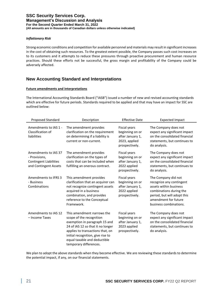#### *Inflationary Risk*

Strong economic conditions and competition for available personnel and materials may result in significant increases in the cost of obtaining such resources. To the greatest extent possible, the Company passes such cost increases on to its customers and it attempts to reduce these pressures through proactive procurement and human resource practices. Should these efforts not be successful, the gross margin and profitability of the Company could be adversely affected.

## **New Accounting Standard and Interpretations**

#### **Future amendments and interpretations**

The International Accounting Standards Board ("IASB") issued a number of new and revised accounting standards which are effective for future periods. Standards required to be applied and that may have an impact for SSC are outlined below:

| Proposed Standard                                                                               | Description                                                                                                                                                                                                                                                     | <b>Effective Date</b>                                                                  | <b>Expected Impact</b>                                                                                                                                                                |
|-------------------------------------------------------------------------------------------------|-----------------------------------------------------------------------------------------------------------------------------------------------------------------------------------------------------------------------------------------------------------------|----------------------------------------------------------------------------------------|---------------------------------------------------------------------------------------------------------------------------------------------------------------------------------------|
| Amendments to IAS 1 -<br>Classification of<br>liabilities                                       | The amendment provides<br>clarification on the requirement<br>on determining if a liability is<br>current or non-current.                                                                                                                                       | Fiscal years<br>beginning on or<br>after January 1,<br>2023, applied<br>prospectively. | The Company does not<br>expect any significant impact<br>on the consolidated financial<br>statements, but continues to<br>do analysis.                                                |
| Amendments to IAS 37<br>- Provisions,<br><b>Contingent Liabilities</b><br>and Contingent Assets | The amendment provides<br>clarification on the types of<br>costs that can be included when<br>fulfilling an onerous contract.                                                                                                                                   | Fiscal years<br>beginning on or<br>after January 1,<br>2022 applied<br>prospectively.  | The Company does not<br>expect any significant impact<br>on the consolidated financial<br>statements, but continues to<br>do analysis.                                                |
| Amendments to IFRS 3<br>- Business<br>Combinations                                              | This amendment provides<br>clarification that an acquirer can<br>not recognize contingent assets<br>acquired in a business<br>combination, and provides<br>reference to the Conceptual<br>Framework.                                                            | Fiscal years<br>beginning on or<br>after January 1,<br>2022 applied<br>prospectively.  | The Company did not<br>recognize any contingent<br>assets within business<br>combinations during the<br>period, but will adopt this<br>amendment for future<br>business combinations. |
| Amendments to IAS 12<br>- Income Taxes                                                          | This amendment narrows the<br>scope of the recognition<br>exemption in paragraph 15 and<br>24 of IAS 12 so that it no longer<br>applies to transactions that, on<br>initial recognition, give rise to<br>equal taxable and deductible<br>temporary differences. | Fiscal years<br>beginning on or<br>after January 1,<br>2023 applied<br>prospectively.  | The Company does not<br>expect any significant impact<br>on the consolidated financial<br>statements, but continues to<br>do analysis.                                                |

We plan to adopt the above standards when they become effective. We are reviewing these standards to determine the potential impact, if any, on our financial statements.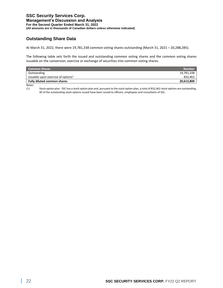# **Outstanding Share Data**

At March 31, 2022, there were 19,781,338 common voting shares outstanding (March 31, 2021 – 20,288,285).

The following table sets forth the issued and outstanding common voting shares and the common voting shares issuable on the conversion, exercise or exchange of securities into common voting shares.

| <b>Number</b> |
|---------------|
| 19,781,338    |
| 832.462       |
| 20,613,800    |
|               |

Notes:

(1) Stock option plan - SSC has a stock option plan and, pursuant to the stock option plan, a total of 832,462 stock options are outstanding. All of the outstanding stock options issued have been issued to officers, employees and consultants of SSC.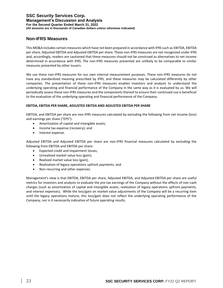## **Non-IFRS Measures**

This MD&A includes certain measures which have not been prepared in accordance with IFRS such as EBITDA, EBITDA per share, Adjusted EBITDA and Adjusted EBITDA per share. These non-IFRS measures are not recognized under IFRS and, accordingly, readers are cautioned that these measures should not be construed as alternatives to net income determined in accordance with IFRS. The non-IFRS measures presented are unlikely to be comparable to similar measures presented by other issuers.

We use these non-IFRS measures for our own internal measurement purposes. These non-IFRS measures do not have any standardized meaning prescribed by IFRS, and these measures may be calculated differently by other companies. The presentation of these non-IFRS measures enables investors and analysts to understand the underlying operating and financial performance of the Company in the same way as it is evaluated by us. We will periodically assess these non-IFRS measures and the components thereof to ensure their continued use is beneficial to the evaluation of the underlying operating and financial performance of the Company.

#### **EBITDA, EBITDA PER SHARE, ADJUSTED EBITDA AND ADJUSTED EBITDA PER SHARE**

EBITDA, and EBITDA per share are non-IFRS measures calculated by excluding the following from net income (loss) and earnings per share ("EPS"):

- Amortization of capital and intangible assets;
- Income tax expense (recovery); and
- Interest expense.

Adjusted EBITDA and Adjusted EBITDA per share are non-IFRS financial measures calculated by excluding the following from EBITDA and EBITDA per share:

- Expected credit and impairment losses;
- Unrealized market value loss (gain);
- Realized market value loss (gain);
- Realization of legacy operations upfront payments; and
- Non-recurring and other expenses.

Management's view is that EBITDA, EBITDA per share, Adjusted EBITDA, and Adjusted EBITDA per share are useful metrics for investors and analysts to evaluate the pre-tax earnings of the Company without the effects of non-cash charges (such as amortization of capital and intangible assets, realization of legacy operations upfront payments, and interest expenses). While the loss/gain on market value adjustments of the Company will be a recurring item until the legacy operations mature, this loss/gain does not reflect the underlying operating performance of the Company, nor is it necessarily indicative of future operating results.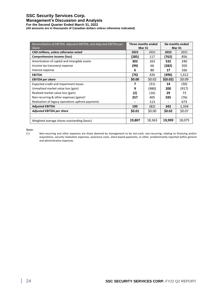## **SSC Security Services Corp.**

#### **Management's Discussion and Analysis**

**For the Second Quarter Ended March 31, 2022**

**(All amounts are in thousands of Canadian dollars unless otherwise indicated)**

| Reconciliation of EBITDA, Adjusted EBITDA, and Adjusted EBITDA per<br><b>Share</b> | Three months ended<br><b>Mar 31</b> |        |          | Six months ended<br><b>Mar 31</b> |
|------------------------------------------------------------------------------------|-------------------------------------|--------|----------|-----------------------------------|
| CAD millions, unless otherwise noted                                               | 2022                                | 2021   | 2022     | 2021                              |
| Comprehensive income (loss)                                                        | (285)                               | 117    | (762)    | 856                               |
| Amortization of capital and intangible assets                                      | 302                                 | 163    | 532      | 240                               |
| Income tax (recovery) expense                                                      | (99)                                | 66     | (282)    | 350                               |
| Interest expense                                                                   | 6                                   | 80     | 17       | 166                               |
| <b>EBITDA</b>                                                                      | (76)                                | 426    | (496)    | 1,612                             |
| <b>EBITDA per share</b>                                                            | \$0.00                              | \$0.02 | \$(0.02) | \$0.09                            |
| Expected credit and impairment losses                                              | 7                                   | (31)   | 14       | (30)                              |
| Unrealized market value loss (gain)                                                | 9                                   | (980)  | 200      | (917)                             |
| Realized market value loss (gain)                                                  | (2)                                 | (16)   | 29       | 73                                |
| Non-recurring & other expenses (gains) <sup>1</sup>                                | 257                                 | 405    | 595      | (76)                              |
| Realization of legacy operations upfront payments                                  |                                     | 113    |          | 673                               |
| <b>Adjusted EBITDA</b>                                                             | 195                                 | (82)   | 342      | 1,334                             |
| <b>Adjusted EBITDA per share</b>                                                   | \$0.01                              | \$0.00 | \$0.02   | \$0.07                            |
|                                                                                    |                                     |        |          |                                   |
| Weighted average shares outstanding (basic)                                        | 19,807                              | 18,363 | 19,999   | 18,075                            |

Note:

(1) Non-recurring and other expenses are those deemed by management to be non-cash, non-recurring, relating to financing and/or acquisitions, security realization expenses, severance costs, share-based payments, or other, predominantly reported within general and administrative expenses.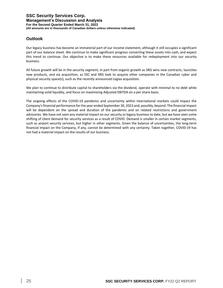## **Outlook**

Our legacy business has become an immaterial part of our income statement, although it still occupies a significant part of our balance sheet. We continue to make significant progress converting these assets into cash, and expect this trend to continue. Our objective is to make these resources available for redeployment into our security business.

All future growth will be in the security segment, in part from organic growth as SRG wins new contracts, launches new products, and via acquisition, as SSC and SRG look to acquire other companies in the Canadian cyber and physical security space(s), such as the recently announced Logixx acquisition.

We plan to continue to distribute capital to shareholders via the dividend, operate with minimal to no debt while maintaining solid liquidity, and focus on maximizing Adjusted EBITDA on a per share basis.

The ongoing effects of the COVID-19 pandemic and uncertainty within international markets could impact the Company's financial performance for the year ended September 30, 2022 and, possibly, beyond. The financial impact will be dependent on the spread and duration of the pandemic and on related restrictions and government advisories. We have not seen any material impact on our security or legacy business to date, but we have seen some shifting of client demand for security services as a result of COVID. Demand is smaller in certain market segments, such as airport security services, but higher in other segments. Given the balance of uncertainties, the long-term financial impact on the Company, if any, cannot be determined with any certainty. Taken together, COVID-19 has not had a material impact on the results of our business.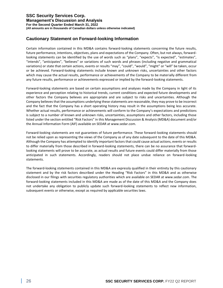## **Cautionary Statement on Forward-looking Information**

Certain information contained in this MD&A contains forward-looking statements concerning the future results, future performance, intentions, objectives, plans and expectations of the Company. Often, but not always, forwardlooking statements can be identified by the use of words such as "plans", "expects", "is expected", "estimates", "intends", "anticipates", "believes" or variations of such words and phrases (including negative and grammatical variations) or state that certain actions, events or results "may", "could", "would", "might" or "will" be taken, occur or be achieved. Forward-looking statements include known and unknown risks, uncertainties and other factors which may cause the actual results, performance or achievements of the Company to be materially different from any future results, performance or achievements expressed or implied by the forward-looking statements.

Forward-looking statements are based on certain assumptions and analyses made by the Company in light of its experience and perception relating to historical trends, current conditions and expected future developments and other factors the Company believes are appropriate and are subject to risks and uncertainties. Although the Company believes that the assumptions underlying these statements are reasonable, they may prove to be incorrect and the fact that the Company has a short operating history may result in the assumptions being less accurate. Whether actual results, performance or achievements will conform to the Company's expectations and predictions is subject to a number of known and unknown risks, uncertainties, assumptions and other factors, including those listed under the section entitled "Risk Factors" in this Management Discussion & Analysis (MD&A) document and/or the Annual Information Form (AIF) available on SEDAR at www.sedar.com.

Forward-looking statements are not guarantees of future performance. These forward-looking statements should not be relied upon as representing the views of the Company as of any date subsequent to the date of this MD&A. Although the Company has attempted to identify important factors that could cause actual actions, events or results to differ materially from those described in forward-looking statements, there can be no assurance that forwardlooking statements will prove to be accurate, as actual results and future events could differ materially from those anticipated in such statements. Accordingly, readers should not place undue reliance on forward-looking statements.

The forward-looking statements contained in this MD&A are expressly qualified in their entirety by this cautionary statement and by the risk factors described under the Heading "Risk Factors" in this MD&A and as otherwise disclosed in our filings with securities regulatory authorities which are available on SEDAR at www.sedar.com. The forward-looking statements included in this MD&A are made as of the date of this MD&A and the Company does not undertake any obligation to publicly update such forward-looking statements to reflect new information, subsequent events or otherwise, except as required by applicable securities laws.